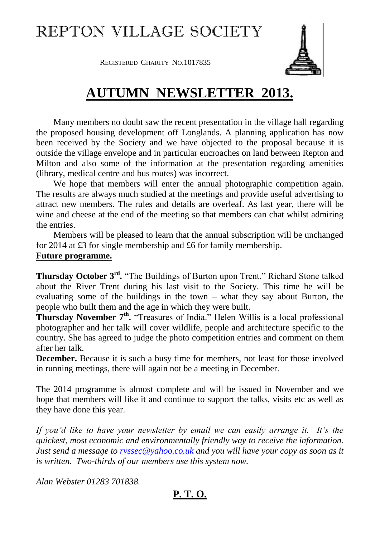# REPTON VILLAGE SOCIETY

**REGISTERED CHARITY NO.1017835** 

## **AUTUMN NEWSLETTER 2013.**

Many members no doubt saw the recent presentation in the village hall regarding the proposed housing development off Longlands. A planning application has now been received by the Society and we have objected to the proposal because it is outside the village envelope and in particular encroaches on land between Repton and Milton and also some of the information at the presentation regarding amenities (library, medical centre and bus routes) was incorrect.

We hope that members will enter the annual photographic competition again. The results are always much studied at the meetings and provide useful advertising to attract new members. The rules and details are overleaf. As last year, there will be wine and cheese at the end of the meeting so that members can chat whilst admiring the entries.

Members will be pleased to learn that the annual subscription will be unchanged for 2014 at £3 for single membership and £6 for family membership.

#### **Future programme.**

**Thursday October 3rd .** "The Buildings of Burton upon Trent." Richard Stone talked about the River Trent during his last visit to the Society. This time he will be evaluating some of the buildings in the town – what they say about Burton, the people who built them and the age in which they were built.

**Thursday November 7<sup>th</sup>.** "Treasures of India." Helen Willis is a local professional photographer and her talk will cover wildlife, people and architecture specific to the country. She has agreed to judge the photo competition entries and comment on them after her talk.

**December.** Because it is such a busy time for members, not least for those involved in running meetings, there will again not be a meeting in December.

The 2014 programme is almost complete and will be issued in November and we hope that members will like it and continue to support the talks, visits etc as well as they have done this year.

*If you'd like to have your newsletter by email we can easily arrange it. It's the quickest, most economic and environmentally friendly way to receive the information. Just send a message to [rvssec@yahoo.co.uk](mailto:rvssec@yahoo.co.uk) and you will have your copy as soon as it is written. Two-thirds of our members use this system now.*

*Alan Webster 01283 701838.*

### **P. T. O.**